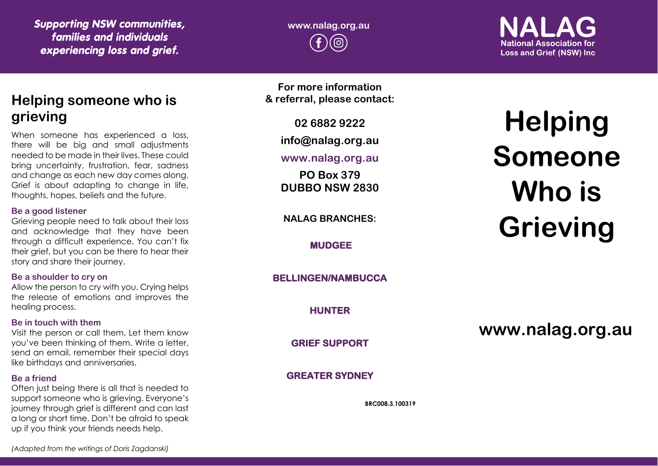*Supporting NSW communities, families and individuals experiencing loss and grief.*

## **www.nalag.org.au**

**National Association for Loss and Grief (NSW) Inc.** 

## **Helping someone who is grieving**

When someone has experienced a loss, there will be big and small adjustments needed to be made in their lives. These could bring uncertainty, frustration, fear, sadness and change as each new day comes along. Grief is about adapting to change in life, thoughts, hopes, beliefs and the future.

#### **Be a good listener**

Grieving people need to talk about their loss and acknowledge that they have been through a difficult experience. You can't fix their grief, but you can be there to hear their story and share their journey.

#### **Be a shoulder to cry on**

Allow the person to cry with you. Crying helps the release of emotions and improves the healing process.

#### **Be in touch with them**

Visit the person or call them. Let them know you've been thinking of them. Write a letter, send an email, remember their special days like birthdays and anniversaries.

#### **Be a friend**

Often just being there is all that is needed to support someone who is grieving. Everyone's journey through grief is different and can last a long or short time. Don't be afraid to speak up if you think your friends needs help.

**For more information & referral, please contact:**

**02 6882 9222**

**info@nalag.org.au**

**www.nalag.org.au**

**PO Box 379 DUBBO NSW 2830**

**NALAG BRANCHES:**

**MUDGEE** 

**BELLINGEN/NAMBUCCA** 

**HUNTER** 

**GRIEF SUPPORT** 

**GREATER SYDNEY** 

**BRC008.3.100319**

# **Helping Someone Who is Grieving**

**www.nalag.org.au**

*(Adapted from the writings of Doris Zagdanski)*